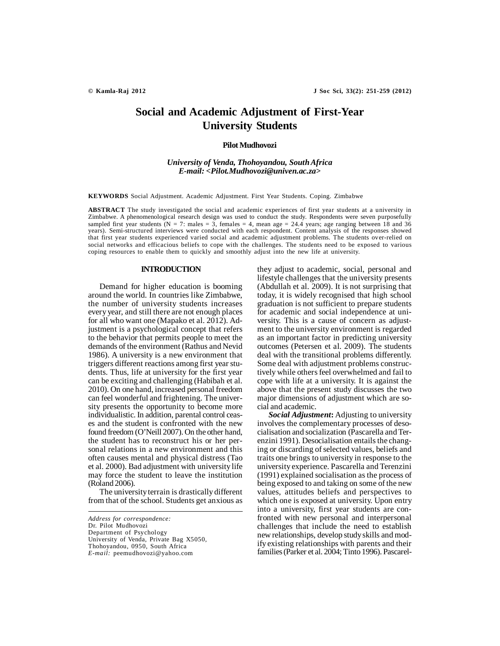# **Social and Academic Adjustment of First-Year University Students**

## **Pilot Mudhovozi**

## *University of Venda, Thohoyandou, South Africa E-mail: <Pilot.Mudhovozi@univen.ac.za>*

**KEYWORDS** Social Adjustment. Academic Adjustment. First Year Students. Coping. Zimbabwe

**ABSTRACT** The study investigated the social and academic experiences of first year students at a university in Zimbabwe. A phenomenological research design was used to conduct the study. Respondents were seven purposefully sampled first year students (N = 7: males = 3, females = 4, mean age = 24.4 years; age ranging between 18 and 36 years). Semi-structured interviews were conducted with each respondent. Content analysis of the responses showed that first year students experienced varied social and academic adjustment problems. The students over-relied on social networks and efficacious beliefs to cope with the challenges. The students need to be exposed to various coping resources to enable them to quickly and smoothly adjust into the new life at university.

## **INTRODUCTION**

Demand for higher education is booming around the world. In countries like Zimbabwe, the number of university students increases every year, and still there are not enough places for all who want one (Mapako et al. 2012). Adjustment is a psychological concept that refers to the behavior that permits people to meet the demands of the environment (Rathus and Nevid 1986). A university is a new environment that triggers different reactions among first year students. Thus, life at university for the first year can be exciting and challenging (Habibah et al. 2010). On one hand, increased personal freedom can feel wonderful and frightening. The university presents the opportunity to become more individualistic. In addition, parental control ceases and the student is confronted with the new found freedom (O'Neill 2007). On the other hand, the student has to reconstruct his or her personal relations in a new environment and this often causes mental and physical distress (Tao et al. 2000). Bad adjustment with university life may force the student to leave the institution (Roland 2006).

The university terrain is drastically different from that of the school. Students get anxious as they adjust to academic, social, personal and lifestyle challenges that the university presents (Abdullah et al. 2009). It is not surprising that today, it is widely recognised that high school graduation is not sufficient to prepare students for academic and social independence at university. This is a cause of concern as adjustment to the university environment is regarded as an important factor in predicting university outcomes (Petersen et al. 2009). The students deal with the transitional problems differently. Some deal with adjustment problems constructively while others feel overwhelmed and fail to cope with life at a university. It is against the above that the present study discusses the two major dimensions of adjustment which are social and academic.

*Social Adjustment***:** Adjusting to university involves the complementary processes of desocialisation and socialization (Pascarella and Terenzini 1991). Desocialisation entails the changing or discarding of selected values, beliefs and traits one brings to university in response to the university experience. Pascarella and Terenzini (1991) explained socialisation as the process of being exposed to and taking on some of the new values, attitudes beliefs and perspectives to which one is exposed at university. Upon entry into a university, first year students are confronted with new personal and interpersonal challenges that include the need to establish new relationships, develop study skills and modify existing relationships with parents and their families (Parker et al. 2004; Tinto 1996). Pascarel-

*Address for correspondence:* Dr. Pilot Mudhovozi Department of Psychology University of Venda, Private Bag X5050, Thohoyandou, 0950, South Africa *E-mail:* peemudhovozi@yahoo.com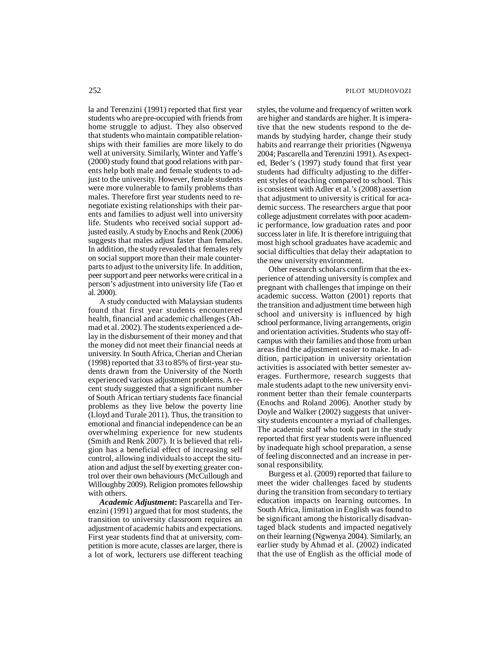la and Terenzini (1991) reported that first year students who are pre-occupied with friends from home struggle to adjust. They also observed that students who maintain compatible relationships with their families are more likely to do well at university. Similarly, Winter and Yaffe's (2000) study found that good relations with parents help both male and female students to adjust to the university. However, female students were more vulnerable to family problems than males. Therefore first year students need to renegotiate existing relationships with their parents and families to adjust well into university life. Students who received social support adjusted easily. A study by Enochs and Renk (2006) suggests that males adjust faster than females. In addition, the study revealed that females rely on social support more than their male counterparts to adjust to the university life. In addition, peer support and peer networks were critical in a person's adjustment into university life (Tao et al. 2000).

A study conducted with Malaysian students found that first year students encountered health, financial and academic challenges (Ahmad et al. 2002). The students experienced a delay in the disbursement of their money and that the money did not meet their financial needs at university. In South Africa, Cherian and Cherian (1998) reported that 33 to 85% of first-year students drawn from the University of the North experienced various adjustment problems. A recent study suggested that a significant number of South African tertiary students face financial problems as they live below the poverty line (Lloyd and Turale 2011). Thus, the transition to emotional and financial independence can be an overwhelming experience for new students (Smith and Renk 2007). It is believed that religion has a beneficial effect of increasing self control, allowing individuals to accept the situation and adjust the self by exerting greater control over their own behaviours (McCullough and Willoughby 2009). Religion promotes fellowship with others.

*Academic Adjustment***:** Pascarella and Terenzini (1991) argued that for most students, the transition to university classroom requires an adjustment of academic habits and expectations. First year students find that at university, competition is more acute, classes are larger, there is a lot of work, lecturers use different teaching styles, the volume and frequency of written work are higher and standards are higher. It is imperative that the new students respond to the demands by studying harder, change their study habits and rearrange their priorities (Ngwenya 2004; Pascarella and Terenzini 1991). As expected, Beder's (1997) study found that first year students had difficulty adjusting to the different styles of teaching compared to school. This is consistent with Adler et al.'s (2008) assertion that adjustment to university is critical for academic success. The researchers argue that poor college adjustment correlates with poor academic performance, low graduation rates and poor success later in life. It is therefore intriguing that most high school graduates have academic and social difficulties that delay their adaptation to the new university environment.

Other research scholars confirm that the experience of attending university is complex and pregnant with challenges that impinge on their academic success. Watton (2001) reports that the transition and adjustment time between high school and university is influenced by high school performance, living arrangements, origin and orientation activities. Students who stay offcampus with their families and those from urban areas find the adjustment easier to make. In addition, participation in university orientation activities is associated with better semester averages. Furthermore, research suggests that male students adapt to the new university environment better than their female counterparts (Enochs and Roland 2006). Another study by Doyle and Walker (2002) suggests that university students encounter a myriad of challenges. The academic staff who took part in the study reported that first year students were influenced by inadequate high school preparation, a sense of feeling disconnected and an increase in personal responsibility.

Burgess et al. (2009) reported that failure to meet the wider challenges faced by students during the transition from secondary to tertiary education impacts on learning outcomes. In South Africa, limitation in English was found to be significant among the historically disadvantaged black students and impacted negatively on their learning (Ngwenya 2004). Similarly, an earlier study by Ahmad et al. (2002) indicated that the use of English as the official mode of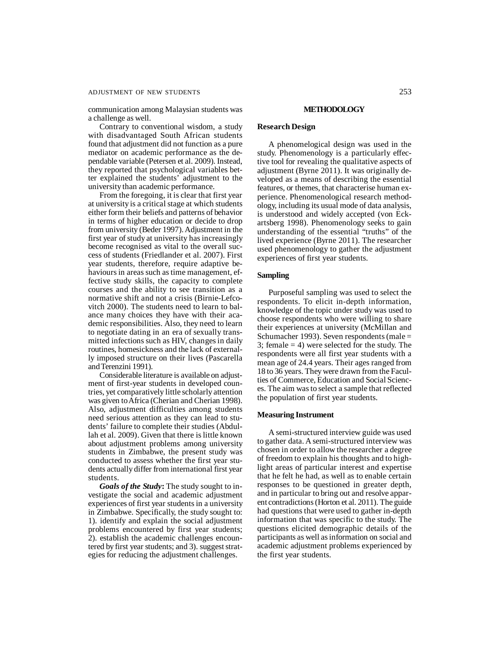## ADJUSTMENT OF NEW STUDENTS 253

communication among Malaysian students was a challenge as well.

Contrary to conventional wisdom, a study with disadvantaged South African students found that adjustment did not function as a pure mediator on academic performance as the dependable variable (Petersen et al. 2009). Instead, they reported that psychological variables better explained the students' adjustment to the university than academic performance.

From the foregoing, it is clear that first year at university is a critical stage at which students either form their beliefs and patterns of behavior in terms of higher education or decide to drop from university (Beder 1997). Adjustment in the first year of study at university has increasingly become recognised as vital to the overall success of students (Friedlander et al. 2007). First year students, therefore, require adaptive behaviours in areas such as time management, effective study skills, the capacity to complete courses and the ability to see transition as a normative shift and not a crisis (Birnie-Lefcovitch 2000). The students need to learn to balance many choices they have with their academic responsibilities. Also, they need to learn to negotiate dating in an era of sexually transmitted infections such as HIV, changes in daily routines, homesickness and the lack of externally imposed structure on their lives (Pascarella and Terenzini 1991).

Considerable literature is available on adjustment of first-year students in developed countries, yet comparatively little scholarly attention was given to Africa (Cherian and Cherian 1998). Also, adjustment difficulties among students need serious attention as they can lead to students' failure to complete their studies (Abdullah et al. 2009). Given that there is little known about adjustment problems among university students in Zimbabwe, the present study was conducted to assess whether the first year students actually differ from international first year students.

*Goals of the Study***:** The study sought to investigate the social and academic adjustment experiences of first year students in a university in Zimbabwe. Specifically, the study sought to: 1). identify and explain the social adjustment problems encountered by first year students; 2). establish the academic challenges encountered by first year students; and 3). suggest strategies for reducing the adjustment challenges.

## **Research Design**

A phenomelogical design was used in the study. Phenomenology is a particularly effective tool for revealing the qualitative aspects of adjustment (Byrne 2011). It was originally developed as a means of describing the essential features, or themes, that characterise human experience. Phenomenological research methodology, including its usual mode of data analysis, is understood and widely accepted (von Eckartsberg 1998). Phenomenology seeks to gain understanding of the essential "truths" of the lived experience (Byrne 2011). The researcher used phenomenology to gather the adjustment experiences of first year students.

#### **Sampling**

Purposeful sampling was used to select the respondents. To elicit in-depth information, knowledge of the topic under study was used to choose respondents who were willing to share their experiences at university (McMillan and Schumacher 1993). Seven respondents (male = 3; female = 4) were selected for the study. The respondents were all first year students with a mean age of 24.4 years. Their ages ranged from 18 to 36 years. They were drawn from the Faculties of Commerce, Education and Social Sciences. The aim was to select a sample that reflected the population of first year students.

### **Measuring Instrument**

A semi-structured interview guide was used to gather data. A semi-structured interview was chosen in order to allow the researcher a degree of freedom to explain his thoughts and to highlight areas of particular interest and expertise that he felt he had, as well as to enable certain responses to be questioned in greater depth, and in particular to bring out and resolve apparent contradictions (Horton et al. 2011). The guide had questions that were used to gather in-depth information that was specific to the study. The questions elicited demographic details of the participants as well as information on social and academic adjustment problems experienced by the first year students.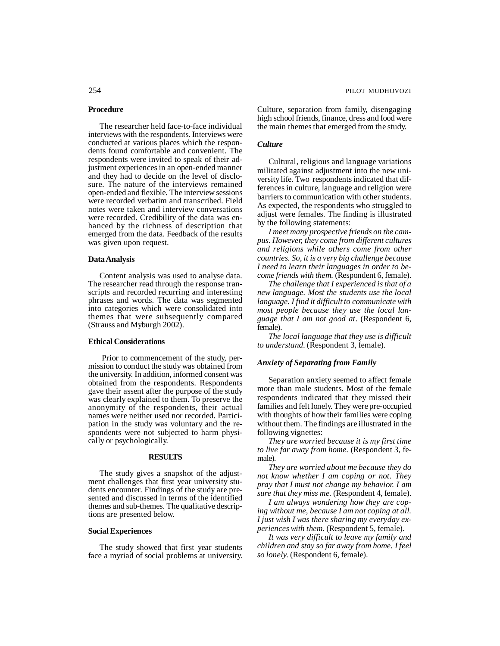#### **Procedure**

The researcher held face-to-face individual interviews with the respondents. Interviews were conducted at various places which the respondents found comfortable and convenient. The respondents were invited to speak of their adjustment experiences in an open-ended manner and they had to decide on the level of disclosure. The nature of the interviews remained open-ended and flexible. The interview sessions were recorded verbatim and transcribed. Field notes were taken and interview conversations were recorded. Credibility of the data was enhanced by the richness of description that emerged from the data. Feedback of the results was given upon request.

## **Data Analysis**

Content analysis was used to analyse data. The researcher read through the response transcripts and recorded recurring and interesting phrases and words. The data was segmented into categories which were consolidated into themes that were subsequently compared (Strauss and Myburgh 2002).

## **Ethical Considerations**

Prior to commencement of the study, permission to conduct the study was obtained from the university. In addition, informed consent was obtained from the respondents. Respondents gave their assent after the purpose of the study was clearly explained to them. To preserve the anonymity of the respondents, their actual names were neither used nor recorded. Participation in the study was voluntary and the respondents were not subjected to harm physically or psychologically.

## **RESULTS**

The study gives a snapshot of the adjustment challenges that first year university students encounter. Findings of the study are presented and discussed in terms of the identified themes and sub-themes. The qualitative descriptions are presented below.

#### **Social Experiences**

The study showed that first year students face a myriad of social problems at university. Culture, separation from family, disengaging high school friends, finance, dress and food were the main themes that emerged from the study.

## *Culture*

Cultural, religious and language variations militated against adjustment into the new university life. Two respondents indicated that differences in culture, language and religion were barriers to communication with other students. As expected, the respondents who struggled to adjust were females. The finding is illustrated by the following statements:

*I meet many prospective friends on the campus. However, they come from different cultures and religions while others come from other countries. So, it is a very big challenge because I need to learn their languages in order to become friends with them.* (Respondent 6, female).

*The challenge that I experienced is that of a new language. Most the students use the local language. I find it difficult to communicate with most people because they use the local language that I am not good at*. (Respondent 6, female).

*The local language that they use is difficult to understand*. (Respondent 3, female).

## *Anxiety of Separating from Family*

Separation anxiety seemed to affect female more than male students. Most of the female respondents indicated that they missed their families and felt lonely. They were pre-occupied with thoughts of how their families were coping without them. The findings are illustrated in the following vignettes:

*They are worried because it is my first time to live far away from home.* (Respondent 3, female).

*They are worried about me because they do not know whether I am coping or not. They pray that I must not change my behavior. I am sure that they miss me.* (Respondent 4, female).

*I am always wondering how they are coping without me, because I am not coping at all. I just wish I was there sharing my everyday experiences with them.* (Respondent 5, female).

*It was very difficult to leave my family and children and stay so far away from home. I feel so lonely.* (Respondent 6, female).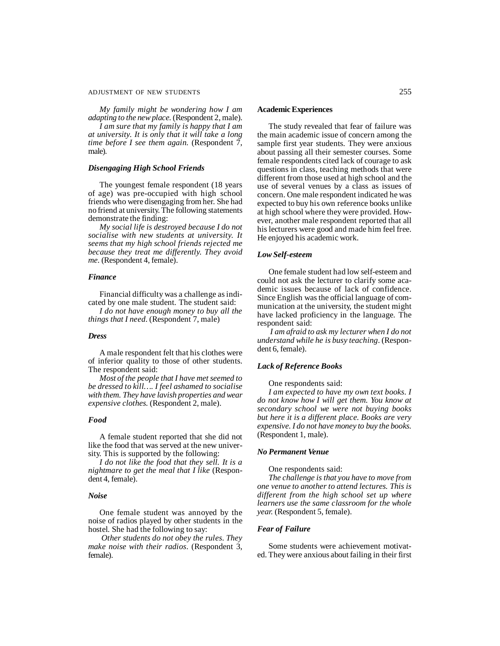*My family might be wondering how I am adapting to the new place.* (Respondent 2, male).

*I am sure that my family is happy that I am at university. It is only that it will take a long time before I see them again.* (Respondent 7, male).

## *Disengaging High School Friends*

The youngest female respondent (18 years of age) was pre-occupied with high school friends who were disengaging from her. She had no friend at university. The following statements demonstrate the finding:

*My social life is destroyed because I do not socialise with new students at university. It seems that my high school friends rejected me because they treat me differently. They avoid me.* (Respondent 4, female).

## *Finance*

Financial difficulty was a challenge as indicated by one male student. The student said:

*I do not have enough money to buy all the things that I need*. (Respondent 7, male)

## *Dress*

A male respondent felt that his clothes were of inferior quality to those of other students. The respondent said:

*Most of the people that I have met seemed to be dressed to kill…. I feel ashamed to socialise with them. They have lavish properties and wear expensive clothes.* (Respondent 2, male).

#### *Food*

A female student reported that she did not like the food that was served at the new university. This is supported by the following:

*I do not like the food that they sell. It is a nightmare to get the meal that I like* (Respondent 4, female).

### *Noise*

One female student was annoyed by the noise of radios played by other students in the hostel*.* She had the following to say:

 *Other students do not obey the rules*. *They make noise with their radios*. (Respondent 3, female).

#### **Academic Experiences**

The study revealed that fear of failure was the main academic issue of concern among the sample first year students. They were anxious about passing all their semester courses. Some female respondents cited lack of courage to ask questions in class, teaching methods that were different from those used at high school and the use of several venues by a class as issues of concern. One male respondent indicated he was expected to buy his own reference books unlike at high school where they were provided. However, another male respondent reported that all his lecturers were good and made him feel free. He enjoyed his academic work.

## *Low Self-esteem*

One female student had low self-esteem and could not ask the lecturer to clarify some academic issues because of lack of confidence. Since English was the official language of communication at the university, the student might have lacked proficiency in the language. The respondent said:

 *I am afraid to ask my lecturer when I do not understand while he is busy teaching*. (Respondent 6, female).

#### *Lack of Reference Books*

One respondents said:

*I am expected to have my own text books. I do not know how I will get them. You know at secondary school we were not buying books but here it is a different place. Books are very expensive. I do not have money to buy the books.* (Respondent 1, male).

## *No Permanent Venue*

One respondents said:

*The challenge is that you have to move from one venue to another to attend lectures. This is different from the high school set up where learners use the same classroom for the whole year.* (Respondent 5, female).

## *Fear of Failure*

Some students were achievement motivated. They were anxious about failing in their first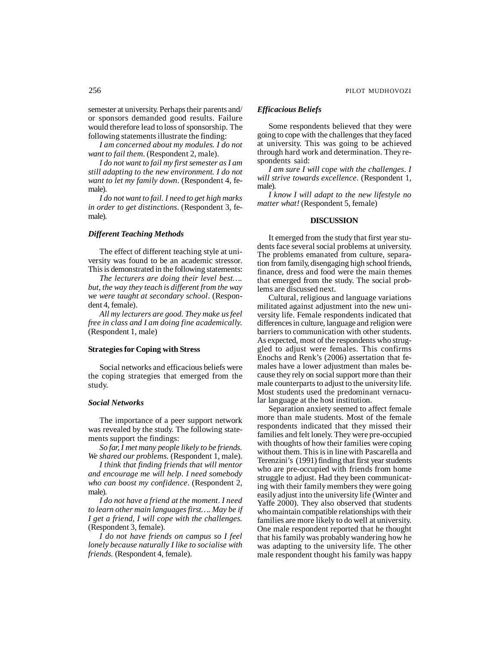semester at university. Perhaps their parents and/ or sponsors demanded good results. Failure would therefore lead to loss of sponsorship. The following statements illustrate the finding:

*I am concerned about my modules. I do not want to fail them*. (Respondent 2, male).

*I do not want to fail my first semester as I am still adapting to the new environment. I do not want to let my family down*. (Respondent 4, female).

*I do not want to fail. I need to get high marks in order to get distinctions*. (Respondent 3, female).

### *Different Teaching Methods*

The effect of different teaching style at university was found to be an academic stressor. This is demonstrated in the following statements:

*The lecturers are doing their level best…. but, the way they teach is different from the way we were taught at secondary school*. (Respondent 4, female).

*All my lecturers are good. They make us feel free in class and I am doing fine academically.* (Respondent 1, male)

## **Strategies for Coping with Stress**

Social networks and efficacious beliefs were the coping strategies that emerged from the study.

## *Social Networks*

The importance of a peer support network was revealed by the study. The following statements support the findings:

*So far, I met many people likely to be friends. We shared our problems.* (Respondent 1, male).

*I think that finding friends that will mentor and encourage me will help. I need somebody who can boost my confidence*. (Respondent 2, male).

*I do not have a friend at the moment. I need to learn other main languages first…. May be if I get a friend, I will cope with the challenges.* (Respondent 3, female).

*I do not have friends on campus so I feel lonely because naturally I like to socialise with friends.* (Respondent 4, female).

## *Efficacious Beliefs*

Some respondents believed that they were going to cope with the challenges that they faced at university. This was going to be achieved through hard work and determination. They respondents said:

*I am sure I will cope with the challenges. I will strive towards excellence*. (Respondent 1, male).

*I know I will adapt to the new lifestyle no matter what!* (Respondent 5, female)

## **DISCUSSION**

It emerged from the study that first year students face several social problems at university. The problems emanated from culture, separation from family, disengaging high school friends, finance, dress and food were the main themes that emerged from the study. The social problems are discussed next.

Cultural, religious and language variations militated against adjustment into the new university life. Female respondents indicated that differences in culture, language and religion were barriers to communication with other students. As expected, most of the respondents who struggled to adjust were females. This confirms Enochs and Renk's (2006) assertation that females have a lower adjustment than males because they rely on social support more than their male counterparts to adjust to the university life. Most students used the predominant vernacular language at the host institution.

Separation anxiety seemed to affect female more than male students. Most of the female respondents indicated that they missed their families and felt lonely. They were pre-occupied with thoughts of how their families were coping without them. This is in line with Pascarella and Terenzini's (1991) finding that first year students who are pre-occupied with friends from home struggle to adjust. Had they been communicating with their family members they were going easily adjust into the university life (Winter and Yaffe 2000). They also observed that students who maintain compatible relationships with their families are more likely to do well at university. One male respondent reported that he thought that his family was probably wandering how he was adapting to the university life. The other male respondent thought his family was happy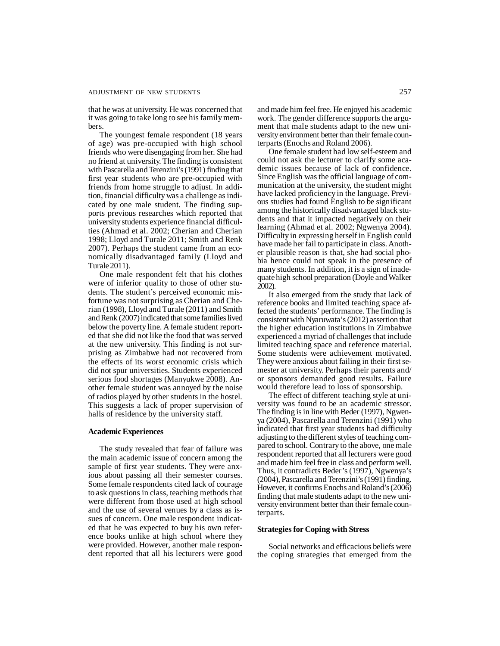## ADJUSTMENT OF NEW STUDENTS 257

that he was at university. He was concerned that it was going to take long to see his family members.

The youngest female respondent (18 years of age) was pre-occupied with high school friends who were disengaging from her. She had no friend at university. The finding is consistent with Pascarella and Terenzini's (1991) finding that first year students who are pre-occupied with friends from home struggle to adjust. In addition, financial difficulty was a challenge as indicated by one male student. The finding supports previous researches which reported that university students experience financial difficulties (Ahmad et al. 2002; Cherian and Cherian 1998; Lloyd and Turale 2011; Smith and Renk 2007). Perhaps the student came from an economically disadvantaged family (Lloyd and Turale 2011).

One male respondent felt that his clothes were of inferior quality to those of other students. The student's perceived economic misfortune was not surprising as Cherian and Cherian (1998), Lloyd and Turale (2011) and Smith and Renk (2007) indicated that some families lived below the poverty line. A female student reported that she did not like the food that was served at the new university. This finding is not surprising as Zimbabwe had not recovered from the effects of its worst economic crisis which did not spur universities. Students experienced serious food shortages (Manyukwe 2008). Another female student was annoyed by the noise of radios played by other students in the hostel*.* This suggests a lack of proper supervision of halls of residence by the university staff.

#### **Academic Experiences**

The study revealed that fear of failure was the main academic issue of concern among the sample of first year students. They were anxious about passing all their semester courses. Some female respondents cited lack of courage to ask questions in class, teaching methods that were different from those used at high school and the use of several venues by a class as issues of concern. One male respondent indicated that he was expected to buy his own reference books unlike at high school where they were provided. However, another male respondent reported that all his lecturers were good and made him feel free. He enjoyed his academic work. The gender difference supports the argument that male students adapt to the new university environment better than their female counterparts (Enochs and Roland 2006).

One female student had low self-esteem and could not ask the lecturer to clarify some academic issues because of lack of confidence. Since English was the official language of communication at the university, the student might have lacked proficiency in the language. Previous studies had found English to be significant among the historically disadvantaged black students and that it impacted negatively on their learning (Ahmad et al. 2002; Ngwenya 2004). Difficulty in expressing herself in English could have made her fail to participate in class. Another plausible reason is that, she had social phobia hence could not speak in the presence of many students. In addition, it is a sign of inadequate high school preparation (Doyle and Walker 2002).

It also emerged from the study that lack of reference books and limited teaching space affected the students' performance. The finding is consistent with Nyaruwata's (2012) assertion that the higher education institutions in Zimbabwe experienced a myriad of challenges that include limited teaching space and reference material. Some students were achievement motivated. They were anxious about failing in their first semester at university. Perhaps their parents and/ or sponsors demanded good results. Failure would therefore lead to loss of sponsorship.

The effect of different teaching style at university was found to be an academic stressor. The finding is in line with Beder (1997), Ngwenya (2004), Pascarella and Terenzini (1991) who indicated that first year students had difficulty adjusting to the different styles of teaching compared to school. Contrary to the above, one male respondent reported that all lecturers were good and made him feel free in class and perform well. Thus, it contradicts Beder's (1997), Ngwenya's (2004), Pascarella and Terenzini's (1991) finding. However, it confirms Enochs and Roland's (2006) finding that male students adapt to the new university environment better than their female counterparts.

## **Strategies for Coping with Stress**

Social networks and efficacious beliefs were the coping strategies that emerged from the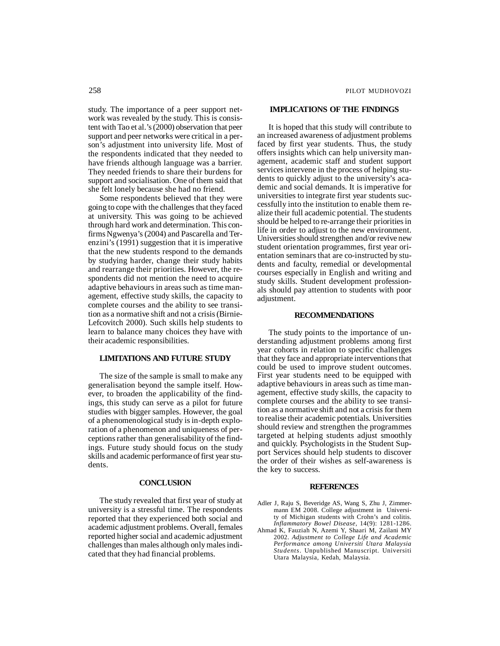study. The importance of a peer support network was revealed by the study. This is consistent with Tao et al.'s (2000) observation that peer support and peer networks were critical in a person's adjustment into university life. Most of the respondents indicated that they needed to have friends although language was a barrier. They needed friends to share their burdens for support and socialisation. One of them said that she felt lonely because she had no friend.

Some respondents believed that they were going to cope with the challenges that they faced at university. This was going to be achieved through hard work and determination. This confirms Ngwenya's (2004) and Pascarella and Terenzini's (1991) suggestion that it is imperative that the new students respond to the demands by studying harder, change their study habits and rearrange their priorities. However, the respondents did not mention the need to acquire adaptive behaviours in areas such as time management, effective study skills, the capacity to complete courses and the ability to see transition as a normative shift and not a crisis (Birnie-Lefcovitch 2000). Such skills help students to learn to balance many choices they have with their academic responsibilities.

## **LIMITATIONS AND FUTURE STUDY**

The size of the sample is small to make any generalisation beyond the sample itself. However, to broaden the applicability of the findings, this study can serve as a pilot for future studies with bigger samples. However, the goal of a phenomenological study is in-depth exploration of a phenomenon and uniqueness of perceptions rather than generalisability of the findings. Future study should focus on the study skills and academic performance of first year students.

## **CONCLUSION**

The study revealed that first year of study at university is a stressful time. The respondents reported that they experienced both social and academic adjustment problems. Overall, females reported higher social and academic adjustment challenges than males although only males indicated that they had financial problems.

## **IMPLICATIONS OF THE FINDINGS**

It is hoped that this study will contribute to an increased awareness of adjustment problems faced by first year students. Thus, the study offers insights which can help university management, academic staff and student support services intervene in the process of helping students to quickly adjust to the university's academic and social demands. It is imperative for universities to integrate first year students successfully into the institution to enable them realize their full academic potential. The students should be helped to re-arrange their priorities in life in order to adjust to the new environment. Universities should strengthen and/or revive new student orientation programmes, first year orientation seminars that are co-instructed by students and faculty, remedial or developmental courses especially in English and writing and study skills. Student development professionals should pay attention to students with poor adjustment.

## **RECOMMENDATIONS**

The study points to the importance of understanding adjustment problems among first year cohorts in relation to specific challenges that they face and appropriate interventions that could be used to improve student outcomes. First year students need to be equipped with adaptive behaviours in areas such as time management, effective study skills, the capacity to complete courses and the ability to see transition as a normative shift and not a crisis for them to realise their academic potentials. Universities should review and strengthen the programmes targeted at helping students adjust smoothly and quickly. Psychologists in the Student Support Services should help students to discover the order of their wishes as self-awareness is the key to success.

#### **REFERENCES**

- Adler J, Raju S, Beveridge AS, Wang S, Zhu J, Zimmermann EM 2008. College adjustment in University of Michigan students with Crohn's and colitis. *Inflammatory Bowel Disease,* 14(9): 1281-1286.
- Ahmad K, Fauziah N, Azemi Y, Shaari M, Zailani MY 2002. *Adjustment to College Life and Academic Performance among Universiti Utara Malaysia Students*. Unpublished Manuscript. Universiti Utara Malaysia, Kedah, Malaysia.